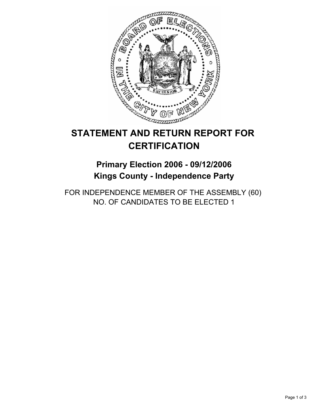

# **STATEMENT AND RETURN REPORT FOR CERTIFICATION**

## **Primary Election 2006 - 09/12/2006 Kings County - Independence Party**

FOR INDEPENDENCE MEMBER OF THE ASSEMBLY (60) NO. OF CANDIDATES TO BE ELECTED 1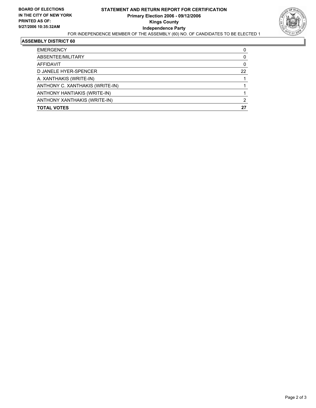

#### **ASSEMBLY DISTRICT 60**

| <b>EMERGENCY</b>                |    |
|---------------------------------|----|
| ABSENTEE/MILITARY               |    |
| AFFIDAVIT                       |    |
| D JANELE HYER-SPENCER           | 22 |
| A. XANTHAKIS (WRITE-IN)         |    |
| ANTHONY C. XANTHAKIS (WRITE-IN) |    |
| ANTHONY HANTIAKIS (WRITE-IN)    |    |
| ANTHONY XANTHAKIS (WRITE-IN)    | ◠  |
| <b>TOTAL VOTES</b>              | 27 |